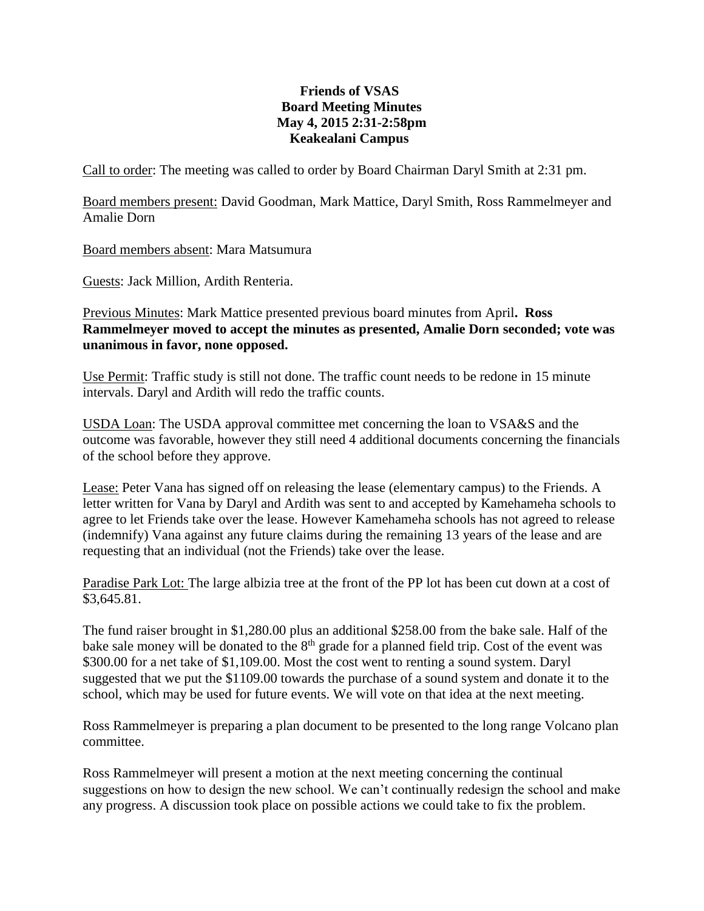## **Friends of VSAS Board Meeting Minutes May 4, 2015 2:31-2:58pm Keakealani Campus**

Call to order: The meeting was called to order by Board Chairman Daryl Smith at 2:31 pm.

Board members present: David Goodman, Mark Mattice, Daryl Smith, Ross Rammelmeyer and Amalie Dorn

Board members absent: Mara Matsumura

Guests: Jack Million, Ardith Renteria.

Previous Minutes: Mark Mattice presented previous board minutes from April**. Ross Rammelmeyer moved to accept the minutes as presented, Amalie Dorn seconded; vote was unanimous in favor, none opposed.**

Use Permit: Traffic study is still not done. The traffic count needs to be redone in 15 minute intervals. Daryl and Ardith will redo the traffic counts.

USDA Loan: The USDA approval committee met concerning the loan to VSA&S and the outcome was favorable, however they still need 4 additional documents concerning the financials of the school before they approve.

Lease: Peter Vana has signed off on releasing the lease (elementary campus) to the Friends. A letter written for Vana by Daryl and Ardith was sent to and accepted by Kamehameha schools to agree to let Friends take over the lease. However Kamehameha schools has not agreed to release (indemnify) Vana against any future claims during the remaining 13 years of the lease and are requesting that an individual (not the Friends) take over the lease.

Paradise Park Lot: The large albizia tree at the front of the PP lot has been cut down at a cost of \$3,645.81.

The fund raiser brought in \$1,280.00 plus an additional \$258.00 from the bake sale. Half of the bake sale money will be donated to the  $8<sup>th</sup>$  grade for a planned field trip. Cost of the event was \$300.00 for a net take of \$1,109.00. Most the cost went to renting a sound system. Daryl suggested that we put the \$1109.00 towards the purchase of a sound system and donate it to the school, which may be used for future events. We will vote on that idea at the next meeting.

Ross Rammelmeyer is preparing a plan document to be presented to the long range Volcano plan committee.

Ross Rammelmeyer will present a motion at the next meeting concerning the continual suggestions on how to design the new school. We can't continually redesign the school and make any progress. A discussion took place on possible actions we could take to fix the problem.